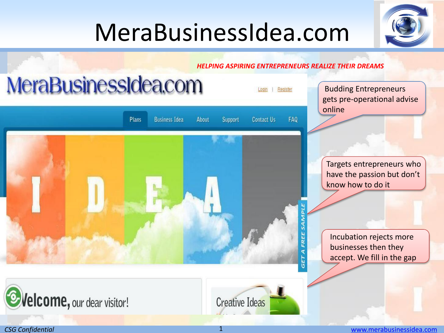# MeraBusinessIdea.com





*CSG Confidential* 1 [www.merabusinessidea.com](http://www.merabusinessidea.com/)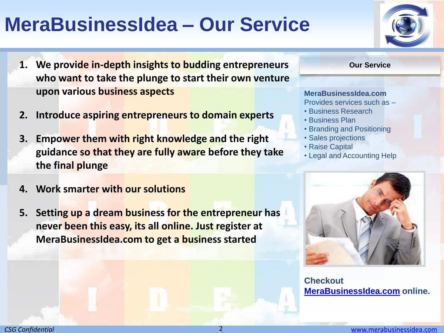### **MeraBusinessIdea – Our Service**

- **1. We provide in-depth insights to budding entrepreneurs <b>The COUT SERVICE** Our Service **who want to take the plunge to start their own venture upon various business aspects**
- **2. Introduce aspiring entrepreneurs to domain experts**
- **3. Empower them with right knowledge and the right guidance so that they are fully aware before they take the final plunge**
- **4. Work smarter with our solutions**
- **5. Setting up a dream business for the entrepreneur has never been this easy, its all online. Just register at MeraBusinessIdea.com to get a business started**



#### **MeraBusinessIdea.com**

Provides services such as –

- Business Research
- Business Plan
- Branding and Positioning
- Sales projections
- Raise Capital
- Legal and Accounting Help



**Checkout [MeraBusinessIdea.com](http://www.merabusinessidea.com/) online.**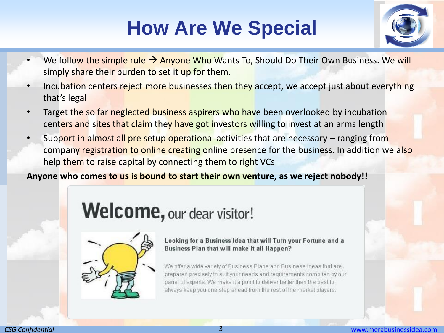## **How Are We Special**



- We follow the simple rule  $\rightarrow$  Anyone Who Wants To, Should Do Their Own Business. We will simply share their burden to set it up for them.
- Incubation centers reject more businesses then they accept, we accept just about everything that's legal
- Target the so far neglected business aspirers who have been overlooked by incubation centers and sites that claim they have got investors willing to invest at an arms length
- Support in almost all pre setup operational activities that are necessary ranging from company registration to online creating online presence for the business. In addition we also help them to raise capital by connecting them to right VCs

#### **Anyone who comes to us is bound to start their own venture, as we reject nobody!!**

#### Welcome, our dear visitor!



Looking for a Business Idea that will Turn your Fortune and a Business Plan that will make it all Happen?

We offer a wide variety of Business Plans and Business Ideas that are prepared precisely to suit your needs and requirements complied by our panel of experts. We make it a point to deliver better then the best to always keep you one step ahead from the rest of the market players.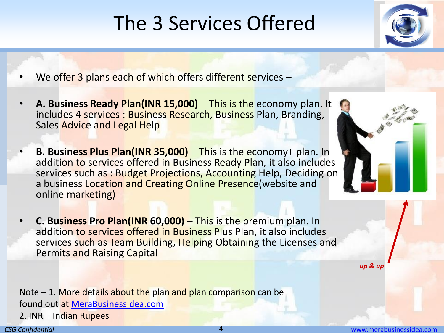## The 3 Services Offered



- We offer 3 plans each of which offers different services –
- **A. Business Ready Plan(INR 15,000)** This is the economy plan. It includes 4 services : Business Research, Business Plan, Branding, Sales Advice and Legal Help
	- **B. Business Plus Plan(INR 35,000)**  This is the economy+ plan. In addition to services offered in Business Ready Plan, it also includes services such as : Budget Projections, Accounting Help, Deciding on a business Location and Creating Online Presence(website and online marketing)
	- **C. Business Pro Plan(INR 60,000)**  This is the premium plan. In addition to services offered in Business Plus Plan, it also includes services such as Team Building, Helping Obtaining the Licenses and Permits and Raising Capital

*up & up*

Note  $-1$ . More details about the plan and plan comparison can be found out at [MeraBusinessIdea.com](http://www.merabusinessidea.com/) 2. INR – Indian Rupees

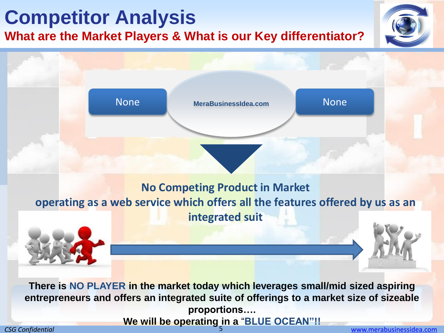### **Competitor Analysis**

**What are the Market Players & What is our Key differentiator?**





**proportions….**

**We will be operating in a** "**BLUE OCEAN"!!**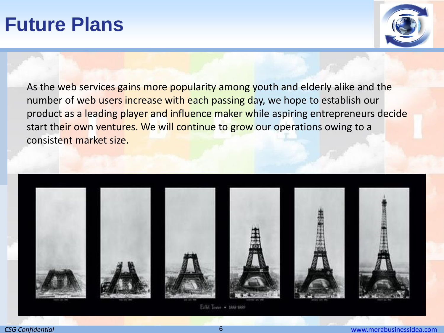#### **Future Plans**



As the web services gains more popularity among youth and elderly alike and the number of web users increase with each passing day, we hope to establish our product as a leading player and influence maker while aspiring entrepreneurs decide start their own ventures. We will continue to grow our operations owing to a consistent market size.